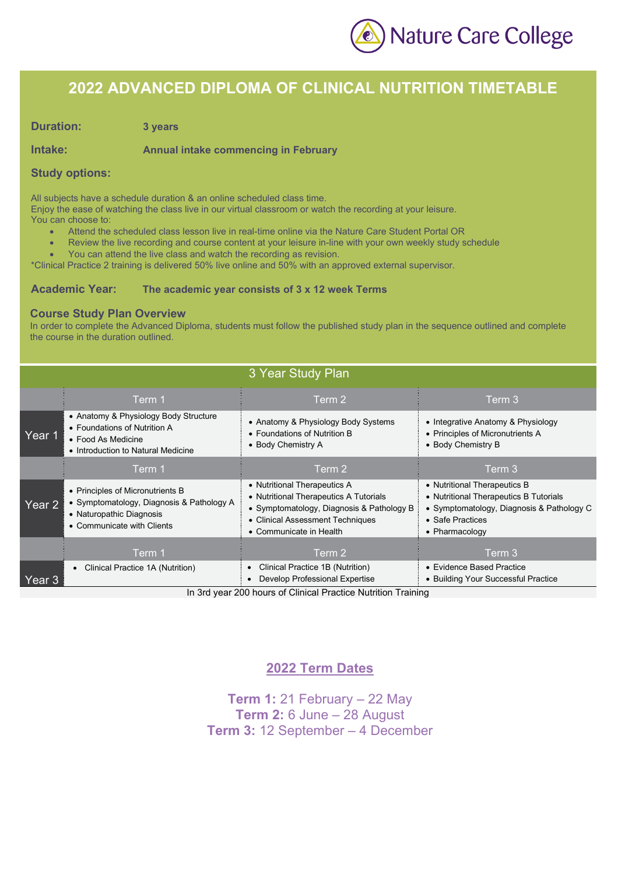

### **2022 ADVANCED DIPLOMA OF CLINICAL NUTRITION TIMETABLE**

**Duration: 3 years**

**Intake: Annual intake commencing in February**

#### **Study options:**

All subjects have a schedule duration & an online scheduled class time.

Enjoy the ease of watching the class live in our virtual classroom or watch the recording at your leisure. You can choose to:

- Attend the scheduled class lesson live in real-time online via the Nature Care Student Portal OR
- Review the live recording and course content at your leisure in-line with your own weekly study schedule
- You can attend the live class and watch the recording as revision.

\*Clinical Practice 2 training is delivered 50% live online and 50% with an approved external supervisor.

#### **Academic Year: The academic year consists of 3 x 12 week Terms**

#### **Course Study Plan Overview**

In order to complete the Advanced Diploma, students must follow the published study plan in the sequence outlined and complete the course in the duration outlined.

| 3 Year Study Plan |                                                                                                                                         |                                                                                                                                                                                    |                                                                                                                                                           |
|-------------------|-----------------------------------------------------------------------------------------------------------------------------------------|------------------------------------------------------------------------------------------------------------------------------------------------------------------------------------|-----------------------------------------------------------------------------------------------------------------------------------------------------------|
|                   | Term 1                                                                                                                                  | Term 2                                                                                                                                                                             | Term 3                                                                                                                                                    |
| Year 1            | • Anatomy & Physiology Body Structure<br>• Foundations of Nutrition A<br>• Food As Medicine<br>• Introduction to Natural Medicine       | • Anatomy & Physiology Body Systems<br>• Foundations of Nutrition B<br>• Body Chemistry A                                                                                          | • Integrative Anatomy & Physiology<br>• Principles of Micronutrients A<br>• Body Chemistry B                                                              |
|                   | Term 1                                                                                                                                  | Term 2                                                                                                                                                                             | Term 3                                                                                                                                                    |
| Year 2            | • Principles of Micronutrients B<br>• Symptomatology, Diagnosis & Pathology A<br>• Naturopathic Diagnosis<br>• Communicate with Clients | • Nutritional Therapeutics A<br>• Nutritional Therapeutics A Tutorials<br>• Symptomatology, Diagnosis & Pathology B<br>• Clinical Assessment Techniques<br>• Communicate in Health | • Nutritional Therapeutics B<br>• Nutritional Therapeutics B Tutorials<br>• Symptomatology, Diagnosis & Pathology C<br>• Safe Practices<br>• Pharmacology |
|                   | Term 1                                                                                                                                  | Term 2                                                                                                                                                                             | Term 3                                                                                                                                                    |
| Year 3            | Clinical Practice 1A (Nutrition)                                                                                                        | Clinical Practice 1B (Nutrition)<br>Develop Professional Expertise<br>In 2rd voor 200 hours of Clinical Drastics Nutrition Troining                                                | • Evidence Based Practice<br>• Building Your Successful Practice                                                                                          |

In 3rd year 200 hours of Clinical Practice Nutrition Training

#### **2022 Term Dates**

**Term 1:** 21 February – 22 May **Term 2:** 6 June – 28 August **Term 3:** 12 September – 4 December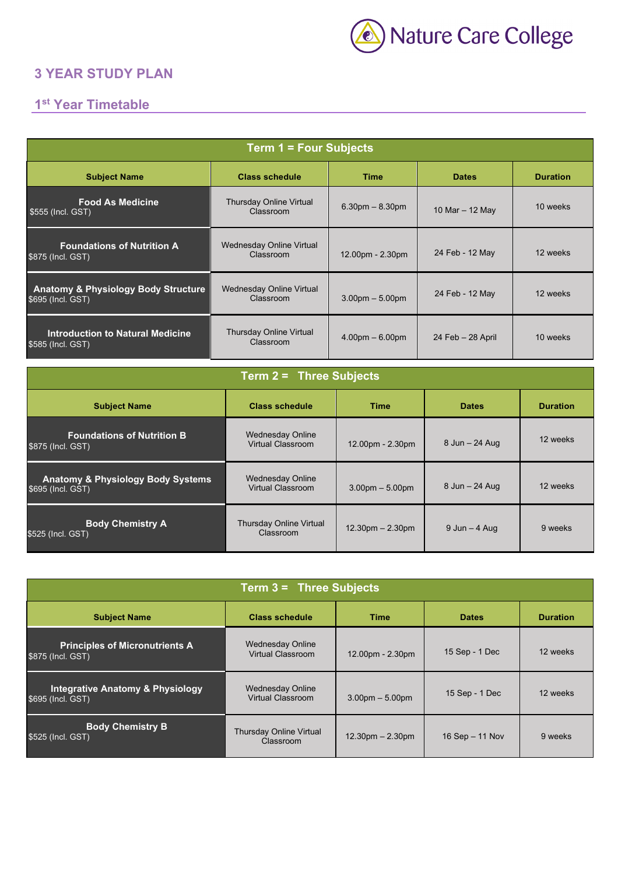

### **3 YEAR STUDY PLAN**

## **1st Year Timetable**

| <b>Term 1 = Four Subjects</b>                                                                  |                                              |                   |                      |                 |
|------------------------------------------------------------------------------------------------|----------------------------------------------|-------------------|----------------------|-----------------|
| <b>Subject Name</b>                                                                            | <b>Class schedule</b>                        | <b>Time</b>       | <b>Dates</b>         | <b>Duration</b> |
| <b>Food As Medicine</b><br>\$555 (Incl. GST)                                                   | Thursday Online Virtual<br>Classroom         | $6.30pm - 8.30pm$ | 10 Mar - 12 May      | 10 weeks        |
| <b>Foundations of Nutrition A</b><br>\$875 (Incl. GST)                                         | <b>Wednesday Online Virtual</b><br>Classroom | 12.00pm - 2.30pm  | 24 Feb - 12 May      | 12 weeks        |
| <b>Anatomy &amp; Physiology Body Structure</b><br>\$695 (Incl. GST)                            | Wednesday Online Virtual<br>Classroom        | $3.00pm - 5.00pm$ | 24 Feb - 12 May      | 12 weeks        |
| <b>Introduction to Natural Medicine</b><br>\$585 (Incl. GST)                                   | Thursday Online Virtual<br>Classroom         | $4.00pm - 6.00pm$ | $24$ Feb $-28$ April | 10 weeks        |
| Term 2 = Three Subjects                                                                        |                                              |                   |                      |                 |
| <b>Subject Name</b><br><b>Class schedule</b><br><b>Time</b><br><b>Dates</b><br><b>Duration</b> |                                              |                   |                      |                 |

| Subject Name                                                      | <b>Class schedule</b>                               | 1 ime              | Dates             | Duration |
|-------------------------------------------------------------------|-----------------------------------------------------|--------------------|-------------------|----------|
| <b>Foundations of Nutrition B</b><br>\$875 (Incl. GST)            | <b>Wednesday Online</b><br>Virtual Classroom        | 12.00pm - 2.30pm   | 8 Jun - 24 Aug    | 12 weeks |
| <b>Anatomy &amp; Physiology Body Systems</b><br>\$695 (Incl. GST) | <b>Wednesday Online</b><br><b>Virtual Classroom</b> | $3.00pm - 5.00pm$  | 8 Jun - 24 Aug    | 12 weeks |
| <b>Body Chemistry A</b><br>\$525 (Incl. GST)                      | Thursday Online Virtual<br>Classroom                | $12.30pm - 2.30pm$ | $9$ Jun $-$ 4 Aug | 9 weeks  |

| <b>Term <math>3 =</math> Three Subjects</b>                      |                                              |                    |                   |                 |
|------------------------------------------------------------------|----------------------------------------------|--------------------|-------------------|-----------------|
| <b>Subject Name</b>                                              | <b>Class schedule</b>                        | <b>Time</b>        | <b>Dates</b>      | <b>Duration</b> |
| <b>Principles of Micronutrients A</b><br>\$875 (Incl. GST)       | Wednesday Online<br>Virtual Classroom        | 12.00pm - 2.30pm   | 15 Sep - 1 Dec    | 12 weeks        |
| <b>Integrative Anatomy &amp; Physiology</b><br>\$695 (Incl. GST) | <b>Wednesday Online</b><br>Virtual Classroom | $3.00pm - 5.00pm$  | 15 Sep - 1 Dec    | 12 weeks        |
| <b>Body Chemistry B</b><br>\$525 (Incl. GST)                     | <b>Thursday Online Virtual</b><br>Classroom  | $12.30pm - 2.30pm$ | 16 Sep $-$ 11 Nov | 9 weeks         |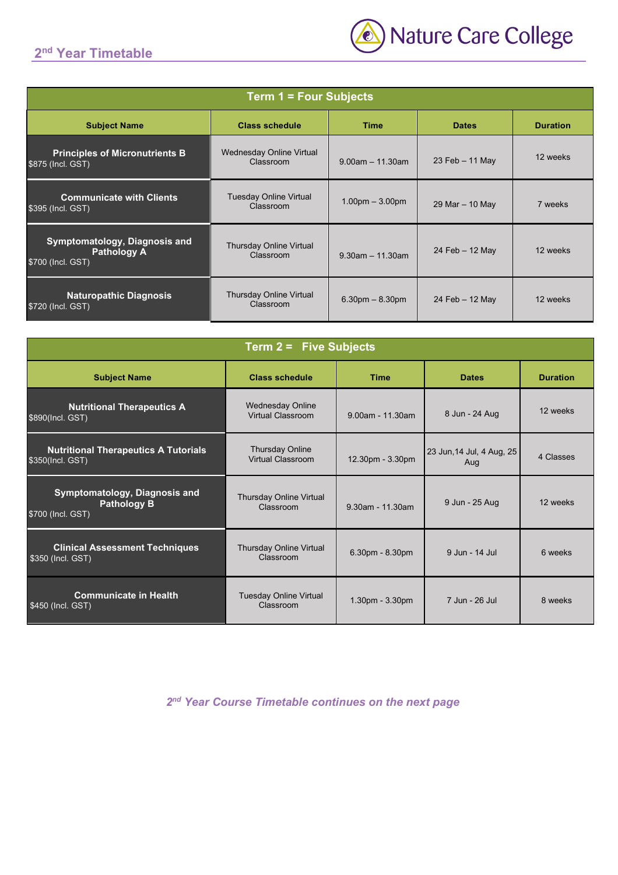#### **2nd Year Timetable**



| <b>Term 1 = Four Subjects</b>                                            |                                             |                       |                   |                 |
|--------------------------------------------------------------------------|---------------------------------------------|-----------------------|-------------------|-----------------|
| <b>Subject Name</b>                                                      | <b>Class schedule</b>                       | <b>Time</b>           | <b>Dates</b>      | <b>Duration</b> |
| <b>Principles of Micronutrients B</b><br>\$875 (Incl. GST)               | Wednesday Online Virtual<br>Classroom       | $9.00$ am $-11.30$ am | 23 Feb $-$ 11 May | 12 weeks        |
| <b>Communicate with Clients</b><br>\$395 (Incl. GST)                     | <b>Tuesday Online Virtual</b><br>Classroom  | $1.00pm - 3.00pm$     | 29 Mar - 10 May   | 7 weeks         |
| Symptomatology, Diagnosis and<br><b>Pathology A</b><br>\$700 (Incl. GST) | <b>Thursday Online Virtual</b><br>Classroom | $9.30$ am $-11.30$ am | 24 Feb $-12$ May  | 12 weeks        |
| <b>Naturopathic Diagnosis</b><br>\$720 (Incl. GST)                       | <b>Thursday Online Virtual</b><br>Classroom | $6.30pm - 8.30pm$     | 24 Feb $-12$ May  | 12 weeks        |

| <b>Term 2 = Five Subjects</b>                                                   |                                              |                     |                                  |                 |
|---------------------------------------------------------------------------------|----------------------------------------------|---------------------|----------------------------------|-----------------|
| <b>Subject Name</b>                                                             | <b>Class schedule</b>                        | <b>Time</b>         | <b>Dates</b>                     | <b>Duration</b> |
| <b>Nutritional Therapeutics A</b><br>\$890(Incl. GST)                           | <b>Wednesday Online</b><br>Virtual Classroom | $9.00$ am - 11.30am | 8 Jun - 24 Aug                   | 12 weeks        |
| <b>Nutritional Therapeutics A Tutorials</b><br>\$350(Incl. GST)                 | <b>Thursday Online</b><br>Virtual Classroom  | 12.30pm - 3.30pm    | 23 Jun, 14 Jul, 4 Aug, 25<br>Aug | 4 Classes       |
| <b>Symptomatology, Diagnosis and</b><br><b>Pathology B</b><br>\$700 (Incl. GST) | <b>Thursday Online Virtual</b><br>Classroom  | 9.30am - 11.30am    | 9 Jun - 25 Aug                   | 12 weeks        |
| <b>Clinical Assessment Techniques</b><br>\$350 (Incl. GST)                      | <b>Thursday Online Virtual</b><br>Classroom  | 6.30pm - 8.30pm     | 9 Jun - 14 Jul                   | 6 weeks         |
| <b>Communicate in Health</b><br>\$450 (Incl. GST)                               | <b>Tuesday Online Virtual</b><br>Classroom   | 1.30pm - 3.30pm     | 7 Jun - 26 Jul                   | 8 weeks         |

*2nd Year Course Timetable continues on the next page*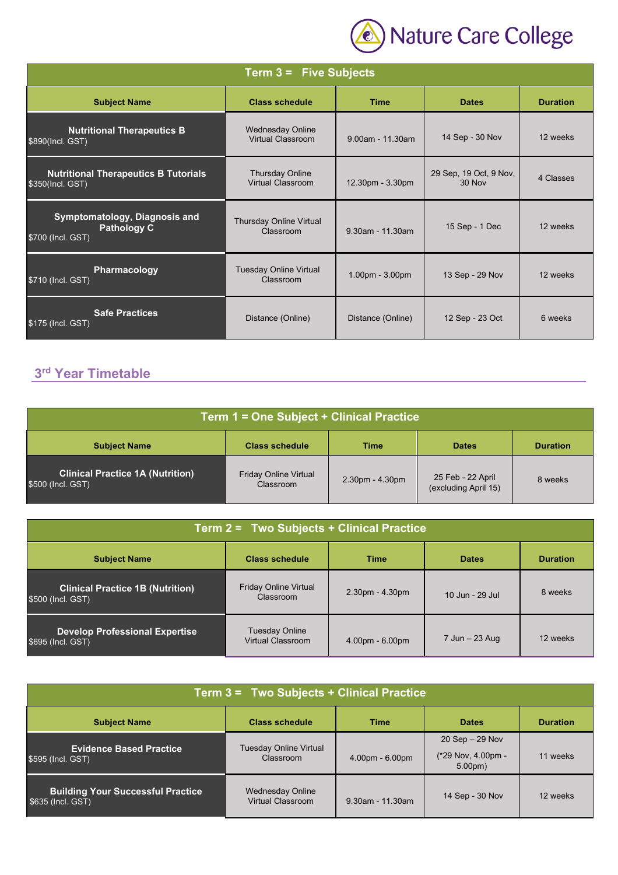

| <b>Term <math>3 =</math> Five Subjects</b>                               |                                                     |                   |                                  |                 |
|--------------------------------------------------------------------------|-----------------------------------------------------|-------------------|----------------------------------|-----------------|
| <b>Subject Name</b>                                                      | <b>Class schedule</b>                               | <b>Time</b>       | <b>Dates</b>                     | <b>Duration</b> |
| <b>Nutritional Therapeutics B</b><br>\$890(Incl. GST)                    | <b>Wednesday Online</b><br><b>Virtual Classroom</b> | 9.00am - 11.30am  | 14 Sep - 30 Nov                  | 12 weeks        |
| <b>Nutritional Therapeutics B Tutorials</b><br>\$350(Incl. GST)          | <b>Thursday Online</b><br><b>Virtual Classroom</b>  | 12.30pm - 3.30pm  | 29 Sep, 19 Oct, 9 Nov,<br>30 Nov | 4 Classes       |
| Symptomatology, Diagnosis and<br><b>Pathology C</b><br>\$700 (Incl. GST) | Thursday Online Virtual<br>Classroom                | 9.30am - 11.30am  | 15 Sep - 1 Dec                   | 12 weeks        |
| Pharmacology<br>\$710 (Incl. GST)                                        | <b>Tuesday Online Virtual</b><br>Classroom          | $1.00pm - 3.00pm$ | 13 Sep - 29 Nov                  | 12 weeks        |
| <b>Safe Practices</b><br>\$175 (Incl. GST)                               | Distance (Online)                                   | Distance (Online) | 12 Sep - 23 Oct                  | 6 weeks         |

# **3rd Year Timetable**

| Term 1 = One Subject + Clinical Practice                     |                                           |                   |                                           |                 |
|--------------------------------------------------------------|-------------------------------------------|-------------------|-------------------------------------------|-----------------|
| <b>Subject Name</b>                                          | <b>Class schedule</b>                     | Time              | <b>Dates</b>                              | <b>Duration</b> |
| <b>Clinical Practice 1A (Nutrition)</b><br>\$500 (Incl. GST) | <b>Friday Online Virtual</b><br>Classroom | $2.30pm - 4.30pm$ | 25 Feb - 22 April<br>(excluding April 15) | 8 weeks         |

| Term 2 = Two Subjects + Clinical Practice                    |                                            |                   |                 |                 |
|--------------------------------------------------------------|--------------------------------------------|-------------------|-----------------|-----------------|
| <b>Subject Name</b>                                          | <b>Class schedule</b>                      | <b>Time</b>       | <b>Dates</b>    | <b>Duration</b> |
| <b>Clinical Practice 1B (Nutrition)</b><br>\$500 (Incl. GST) | <b>Friday Online Virtual</b><br>Classroom  | $2.30pm - 4.30pm$ | 10 Jun - 29 Jul | 8 weeks         |
| <b>Develop Professional Expertise</b><br>\$695 (Incl. GST)   | <b>Tuesday Online</b><br>Virtual Classroom | $4.00pm - 6.00pm$ | 7 Jun - 23 Aug  | 12 weeks        |

| Term 3 = Two Subjects + Clinical Practice                                                  |                                              |                                          |                    |                 |
|--------------------------------------------------------------------------------------------|----------------------------------------------|------------------------------------------|--------------------|-----------------|
| <b>Subject Name</b>                                                                        | <b>Class schedule</b>                        | <b>Time</b>                              | <b>Dates</b>       | <b>Duration</b> |
|                                                                                            |                                              |                                          | $20$ Sep $-29$ Nov |                 |
| Tuesday Online Virtual<br><b>Evidence Based Practice</b><br>Classroom<br>\$595 (Incl. GST) | $4.00pm - 6.00pm$                            | (*29 Nov, 4.00pm -<br>5.00 <sub>pm</sub> | 11 weeks           |                 |
| <b>Building Your Successful Practice</b><br>\$635 (Incl. GST)                              | <b>Wednesday Online</b><br>Virtual Classroom | $9.30$ am - 11.30am                      | 14 Sep - 30 Nov    | 12 weeks        |